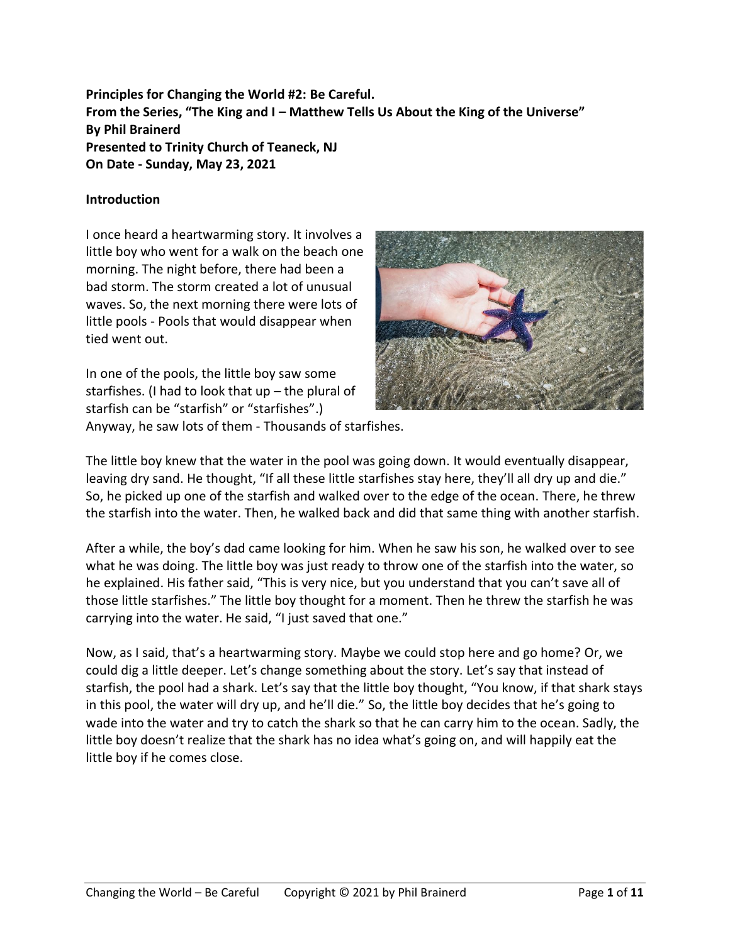**Principles for Changing the World #2: Be Careful. From the Series, "The King and I – Matthew Tells Us About the King of the Universe" By Phil Brainerd Presented to Trinity Church of Teaneck, NJ On Date - Sunday, May 23, 2021**

#### **Introduction**

I once heard a heartwarming story. It involves a little boy who went for a walk on the beach one morning. The night before, there had been a bad storm. The storm created a lot of unusual waves. So, the next morning there were lots of little pools - Pools that would disappear when tied went out.

In one of the pools, the little boy saw some starfishes. (I had to look that up – the plural of starfish can be "starfish" or "starfishes".) Anyway, he saw lots of them - Thousands of starfishes.



The little boy knew that the water in the pool was going down. It would eventually disappear, leaving dry sand. He thought, "If all these little starfishes stay here, they'll all dry up and die." So, he picked up one of the starfish and walked over to the edge of the ocean. There, he threw the starfish into the water. Then, he walked back and did that same thing with another starfish.

After a while, the boy's dad came looking for him. When he saw his son, he walked over to see what he was doing. The little boy was just ready to throw one of the starfish into the water, so he explained. His father said, "This is very nice, but you understand that you can't save all of those little starfishes." The little boy thought for a moment. Then he threw the starfish he was carrying into the water. He said, "I just saved that one."

Now, as I said, that's a heartwarming story. Maybe we could stop here and go home? Or, we could dig a little deeper. Let's change something about the story. Let's say that instead of starfish, the pool had a shark. Let's say that the little boy thought, "You know, if that shark stays in this pool, the water will dry up, and he'll die." So, the little boy decides that he's going to wade into the water and try to catch the shark so that he can carry him to the ocean. Sadly, the little boy doesn't realize that the shark has no idea what's going on, and will happily eat the little boy if he comes close.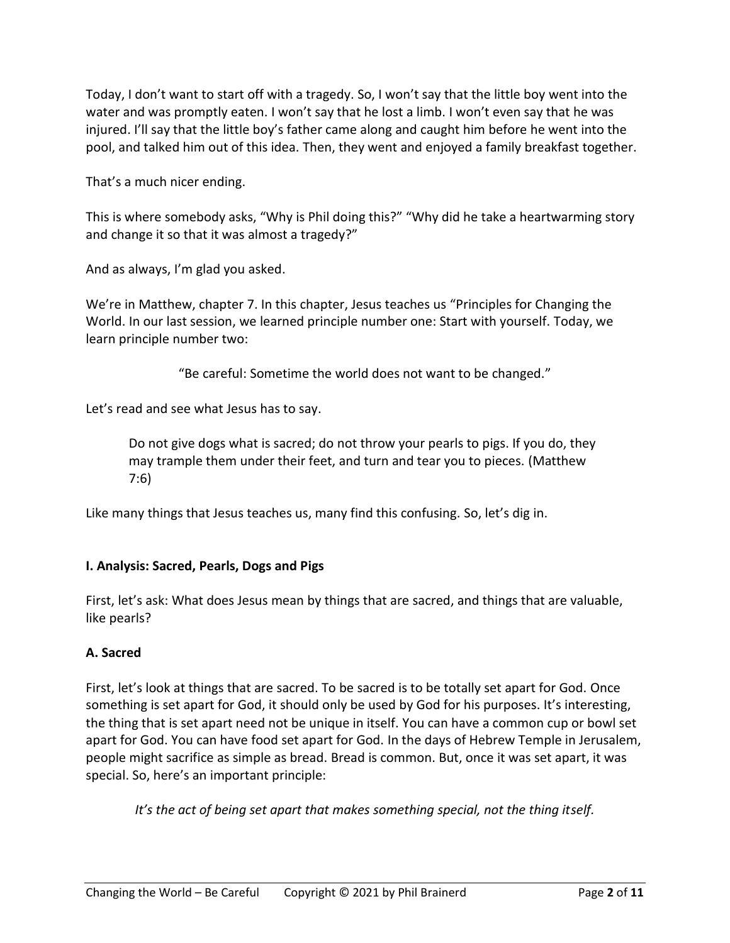Today, I don't want to start off with a tragedy. So, I won't say that the little boy went into the water and was promptly eaten. I won't say that he lost a limb. I won't even say that he was injured. I'll say that the little boy's father came along and caught him before he went into the pool, and talked him out of this idea. Then, they went and enjoyed a family breakfast together.

That's a much nicer ending.

This is where somebody asks, "Why is Phil doing this?" "Why did he take a heartwarming story and change it so that it was almost a tragedy?"

And as always, I'm glad you asked.

We're in Matthew, chapter 7. In this chapter, Jesus teaches us "Principles for Changing the World. In our last session, we learned principle number one: Start with yourself. Today, we learn principle number two:

"Be careful: Sometime the world does not want to be changed."

Let's read and see what Jesus has to say.

Do not give dogs what is sacred; do not throw your pearls to pigs. If you do, they may trample them under their feet, and turn and tear you to pieces. (Matthew 7:6)

Like many things that Jesus teaches us, many find this confusing. So, let's dig in.

## **I. Analysis: Sacred, Pearls, Dogs and Pigs**

First, let's ask: What does Jesus mean by things that are sacred, and things that are valuable, like pearls?

#### **A. Sacred**

First, let's look at things that are sacred. To be sacred is to be totally set apart for God. Once something is set apart for God, it should only be used by God for his purposes. It's interesting, the thing that is set apart need not be unique in itself. You can have a common cup or bowl set apart for God. You can have food set apart for God. In the days of Hebrew Temple in Jerusalem, people might sacrifice as simple as bread. Bread is common. But, once it was set apart, it was special. So, here's an important principle:

*It's the act of being set apart that makes something special, not the thing itself.*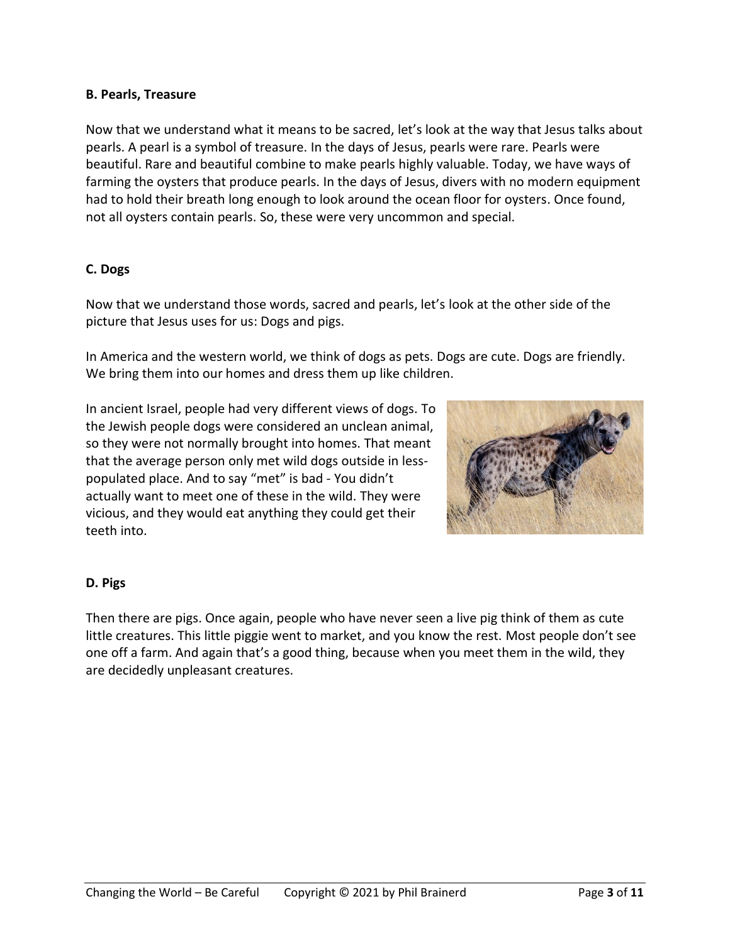#### **B. Pearls, Treasure**

Now that we understand what it means to be sacred, let's look at the way that Jesus talks about pearls. A pearl is a symbol of treasure. In the days of Jesus, pearls were rare. Pearls were beautiful. Rare and beautiful combine to make pearls highly valuable. Today, we have ways of farming the oysters that produce pearls. In the days of Jesus, divers with no modern equipment had to hold their breath long enough to look around the ocean floor for oysters. Once found, not all oysters contain pearls. So, these were very uncommon and special.

#### **C. Dogs**

Now that we understand those words, sacred and pearls, let's look at the other side of the picture that Jesus uses for us: Dogs and pigs.

In America and the western world, we think of dogs as pets. Dogs are cute. Dogs are friendly. We bring them into our homes and dress them up like children.

In ancient Israel, people had very different views of dogs. To the Jewish people dogs were considered an unclean animal, so they were not normally brought into homes. That meant that the average person only met wild dogs outside in lesspopulated place. And to say "met" is bad - You didn't actually want to meet one of these in the wild. They were vicious, and they would eat anything they could get their teeth into.



## **D. Pigs**

Then there are pigs. Once again, people who have never seen a live pig think of them as cute little creatures. This little piggie went to market, and you know the rest. Most people don't see one off a farm. And again that's a good thing, because when you meet them in the wild, they are decidedly unpleasant creatures.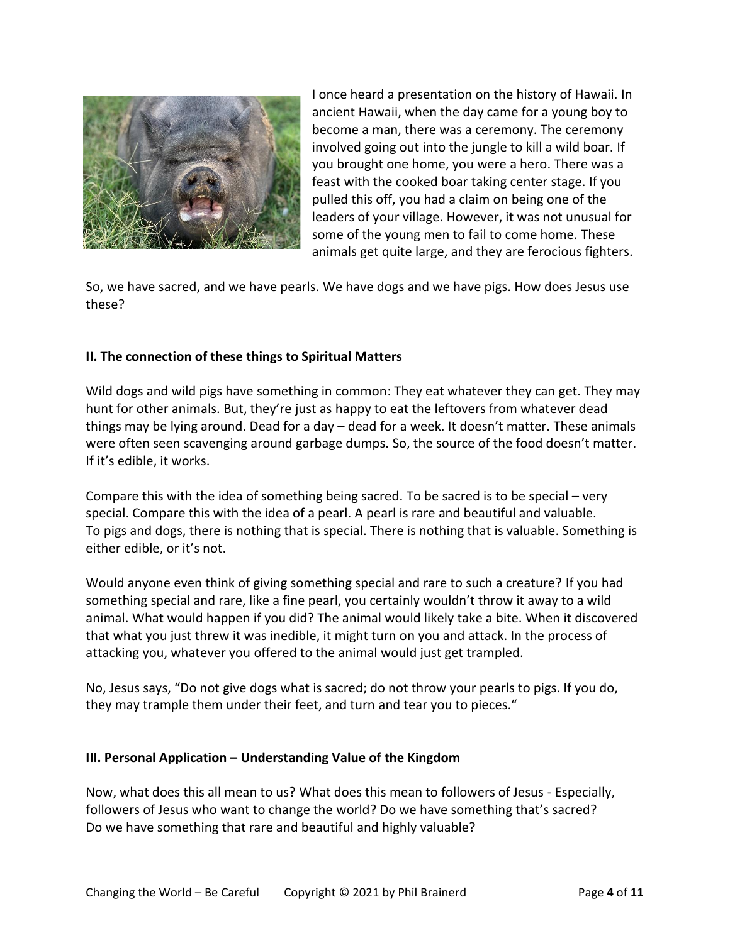

I once heard a presentation on the history of Hawaii. In ancient Hawaii, when the day came for a young boy to become a man, there was a ceremony. The ceremony involved going out into the jungle to kill a wild boar. If you brought one home, you were a hero. There was a feast with the cooked boar taking center stage. If you pulled this off, you had a claim on being one of the leaders of your village. However, it was not unusual for some of the young men to fail to come home. These animals get quite large, and they are ferocious fighters.

So, we have sacred, and we have pearls. We have dogs and we have pigs. How does Jesus use these?

## **II. The connection of these things to Spiritual Matters**

Wild dogs and wild pigs have something in common: They eat whatever they can get. They may hunt for other animals. But, they're just as happy to eat the leftovers from whatever dead things may be lying around. Dead for a day – dead for a week. It doesn't matter. These animals were often seen scavenging around garbage dumps. So, the source of the food doesn't matter. If it's edible, it works.

Compare this with the idea of something being sacred. To be sacred is to be special – very special. Compare this with the idea of a pearl. A pearl is rare and beautiful and valuable. To pigs and dogs, there is nothing that is special. There is nothing that is valuable. Something is either edible, or it's not.

Would anyone even think of giving something special and rare to such a creature? If you had something special and rare, like a fine pearl, you certainly wouldn't throw it away to a wild animal. What would happen if you did? The animal would likely take a bite. When it discovered that what you just threw it was inedible, it might turn on you and attack. In the process of attacking you, whatever you offered to the animal would just get trampled.

No, Jesus says, "Do not give dogs what is sacred; do not throw your pearls to pigs. If you do, they may trample them under their feet, and turn and tear you to pieces."

## **III. Personal Application – Understanding Value of the Kingdom**

Now, what does this all mean to us? What does this mean to followers of Jesus - Especially, followers of Jesus who want to change the world? Do we have something that's sacred? Do we have something that rare and beautiful and highly valuable?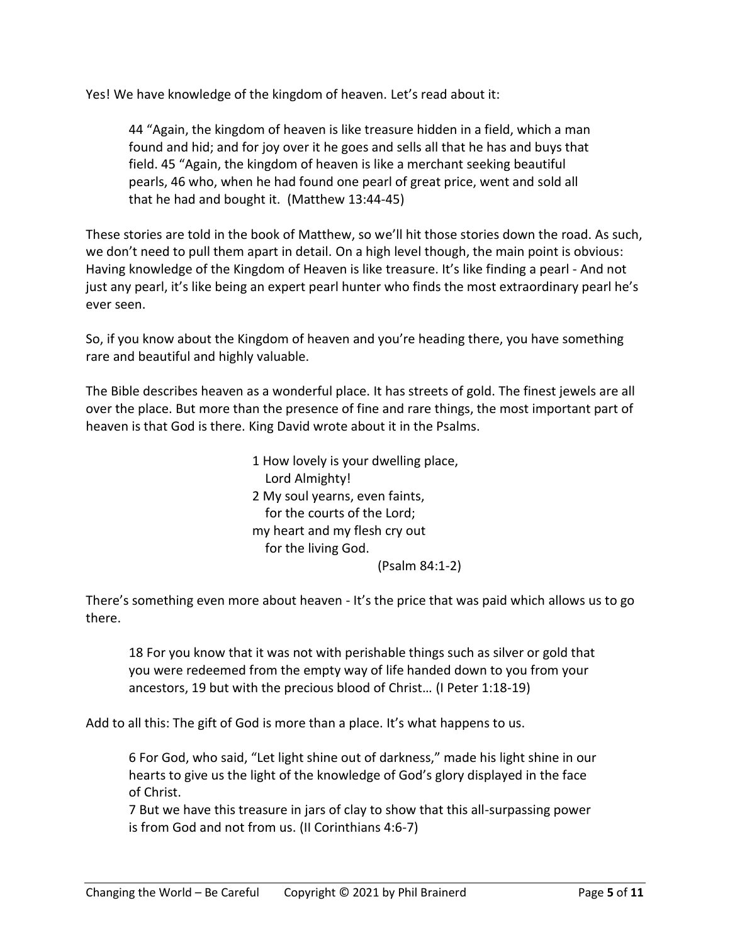Yes! We have knowledge of the kingdom of heaven. Let's read about it:

44 "Again, the kingdom of heaven is like treasure hidden in a field, which a man found and hid; and for joy over it he goes and sells all that he has and buys that field. 45 "Again, the kingdom of heaven is like a merchant seeking beautiful pearls, 46 who, when he had found one pearl of great price, went and sold all that he had and bought it. (Matthew 13:44-45)

These stories are told in the book of Matthew, so we'll hit those stories down the road. As such, we don't need to pull them apart in detail. On a high level though, the main point is obvious: Having knowledge of the Kingdom of Heaven is like treasure. It's like finding a pearl - And not just any pearl, it's like being an expert pearl hunter who finds the most extraordinary pearl he's ever seen.

So, if you know about the Kingdom of heaven and you're heading there, you have something rare and beautiful and highly valuable.

The Bible describes heaven as a wonderful place. It has streets of gold. The finest jewels are all over the place. But more than the presence of fine and rare things, the most important part of heaven is that God is there. King David wrote about it in the Psalms.

> 1 How lovely is your dwelling place, Lord Almighty! 2 My soul yearns, even faints, for the courts of the Lord; my heart and my flesh cry out for the living God. (Psalm 84:1-2)

There's something even more about heaven - It's the price that was paid which allows us to go there.

18 For you know that it was not with perishable things such as silver or gold that you were redeemed from the empty way of life handed down to you from your ancestors, 19 but with the precious blood of Christ… (I Peter 1:18-19)

Add to all this: The gift of God is more than a place. It's what happens to us.

6 For God, who said, "Let light shine out of darkness," made his light shine in our hearts to give us the light of the knowledge of God's glory displayed in the face of Christ.

7 But we have this treasure in jars of clay to show that this all-surpassing power is from God and not from us. (II Corinthians 4:6-7)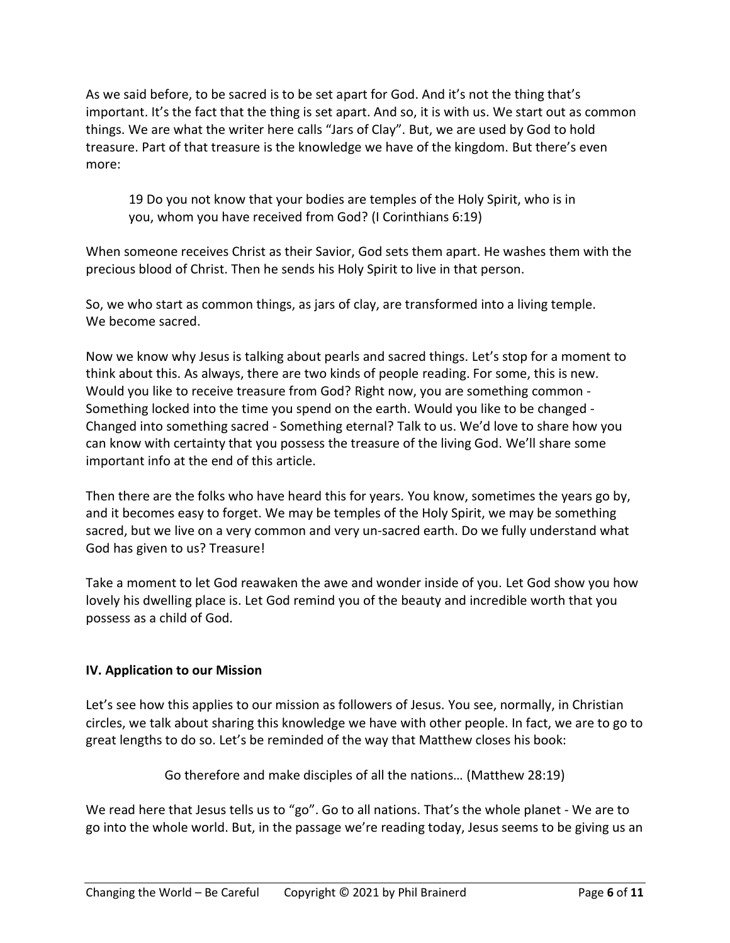As we said before, to be sacred is to be set apart for God. And it's not the thing that's important. It's the fact that the thing is set apart. And so, it is with us. We start out as common things. We are what the writer here calls "Jars of Clay". But, we are used by God to hold treasure. Part of that treasure is the knowledge we have of the kingdom. But there's even more:

19 Do you not know that your bodies are temples of the Holy Spirit, who is in you, whom you have received from God? (I Corinthians 6:19)

When someone receives Christ as their Savior, God sets them apart. He washes them with the precious blood of Christ. Then he sends his Holy Spirit to live in that person.

So, we who start as common things, as jars of clay, are transformed into a living temple. We become sacred.

Now we know why Jesus is talking about pearls and sacred things. Let's stop for a moment to think about this. As always, there are two kinds of people reading. For some, this is new. Would you like to receive treasure from God? Right now, you are something common - Something locked into the time you spend on the earth. Would you like to be changed - Changed into something sacred - Something eternal? Talk to us. We'd love to share how you can know with certainty that you possess the treasure of the living God. We'll share some important info at the end of this article.

Then there are the folks who have heard this for years. You know, sometimes the years go by, and it becomes easy to forget. We may be temples of the Holy Spirit, we may be something sacred, but we live on a very common and very un-sacred earth. Do we fully understand what God has given to us? Treasure!

Take a moment to let God reawaken the awe and wonder inside of you. Let God show you how lovely his dwelling place is. Let God remind you of the beauty and incredible worth that you possess as a child of God.

## **IV. Application to our Mission**

Let's see how this applies to our mission as followers of Jesus. You see, normally, in Christian circles, we talk about sharing this knowledge we have with other people. In fact, we are to go to great lengths to do so. Let's be reminded of the way that Matthew closes his book:

Go therefore and make disciples of all the nations… (Matthew 28:19)

We read here that Jesus tells us to "go". Go to all nations. That's the whole planet - We are to go into the whole world. But, in the passage we're reading today, Jesus seems to be giving us an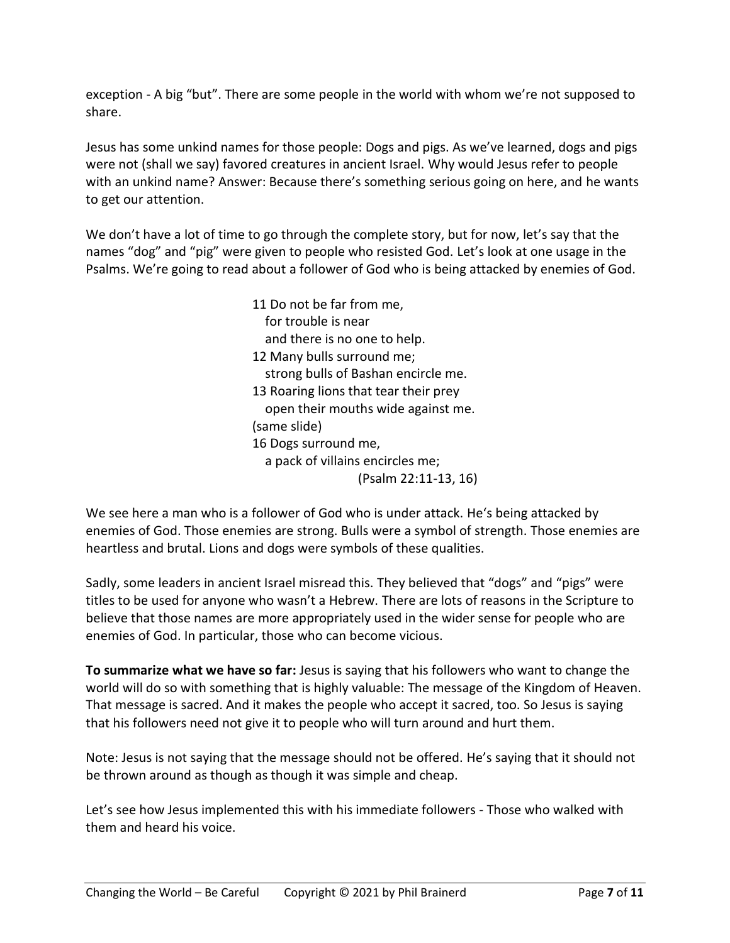exception - A big "but". There are some people in the world with whom we're not supposed to share.

Jesus has some unkind names for those people: Dogs and pigs. As we've learned, dogs and pigs were not (shall we say) favored creatures in ancient Israel. Why would Jesus refer to people with an unkind name? Answer: Because there's something serious going on here, and he wants to get our attention.

We don't have a lot of time to go through the complete story, but for now, let's say that the names "dog" and "pig" were given to people who resisted God. Let's look at one usage in the Psalms. We're going to read about a follower of God who is being attacked by enemies of God.

> 11 Do not be far from me, for trouble is near and there is no one to help. 12 Many bulls surround me; strong bulls of Bashan encircle me. 13 Roaring lions that tear their prey open their mouths wide against me. (same slide) 16 Dogs surround me, a pack of villains encircles me; (Psalm 22:11-13, 16)

We see here a man who is a follower of God who is under attack. He's being attacked by enemies of God. Those enemies are strong. Bulls were a symbol of strength. Those enemies are heartless and brutal. Lions and dogs were symbols of these qualities.

Sadly, some leaders in ancient Israel misread this. They believed that "dogs" and "pigs" were titles to be used for anyone who wasn't a Hebrew. There are lots of reasons in the Scripture to believe that those names are more appropriately used in the wider sense for people who are enemies of God. In particular, those who can become vicious.

**To summarize what we have so far:** Jesus is saying that his followers who want to change the world will do so with something that is highly valuable: The message of the Kingdom of Heaven. That message is sacred. And it makes the people who accept it sacred, too. So Jesus is saying that his followers need not give it to people who will turn around and hurt them.

Note: Jesus is not saying that the message should not be offered. He's saying that it should not be thrown around as though as though it was simple and cheap.

Let's see how Jesus implemented this with his immediate followers - Those who walked with them and heard his voice.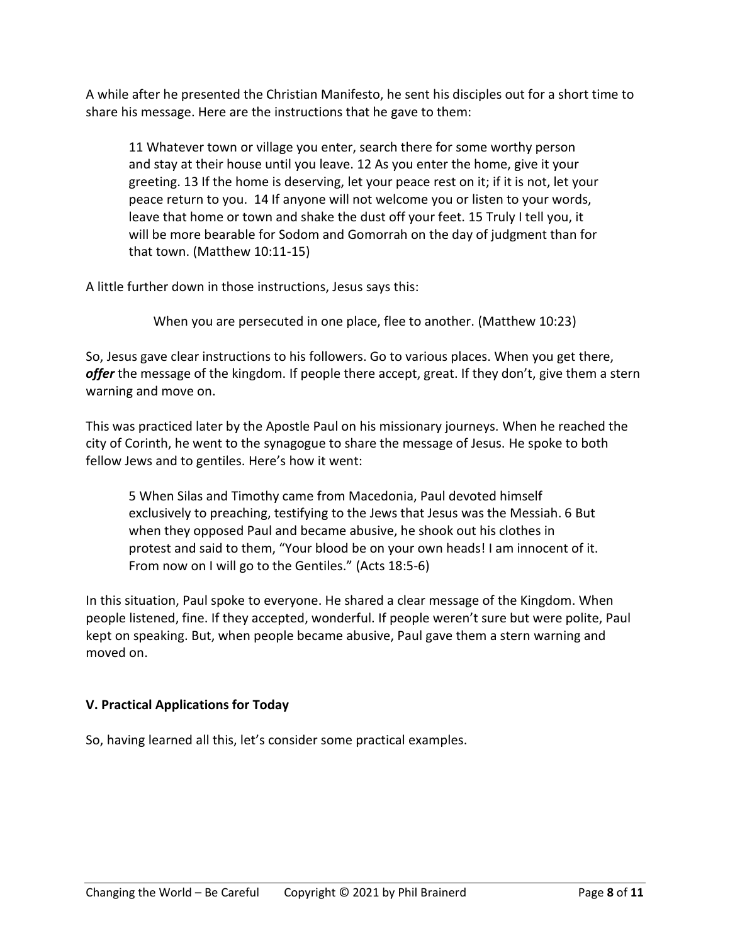A while after he presented the Christian Manifesto, he sent his disciples out for a short time to share his message. Here are the instructions that he gave to them:

11 Whatever town or village you enter, search there for some worthy person and stay at their house until you leave. 12 As you enter the home, give it your greeting. 13 If the home is deserving, let your peace rest on it; if it is not, let your peace return to you. 14 If anyone will not welcome you or listen to your words, leave that home or town and shake the dust off your feet. 15 Truly I tell you, it will be more bearable for Sodom and Gomorrah on the day of judgment than for that town. (Matthew 10:11-15)

A little further down in those instructions, Jesus says this:

When you are persecuted in one place, flee to another. (Matthew 10:23)

So, Jesus gave clear instructions to his followers. Go to various places. When you get there, *offer* the message of the kingdom. If people there accept, great. If they don't, give them a stern warning and move on.

This was practiced later by the Apostle Paul on his missionary journeys. When he reached the city of Corinth, he went to the synagogue to share the message of Jesus. He spoke to both fellow Jews and to gentiles. Here's how it went:

5 When Silas and Timothy came from Macedonia, Paul devoted himself exclusively to preaching, testifying to the Jews that Jesus was the Messiah. 6 But when they opposed Paul and became abusive, he shook out his clothes in protest and said to them, "Your blood be on your own heads! I am innocent of it. From now on I will go to the Gentiles." (Acts 18:5-6)

In this situation, Paul spoke to everyone. He shared a clear message of the Kingdom. When people listened, fine. If they accepted, wonderful. If people weren't sure but were polite, Paul kept on speaking. But, when people became abusive, Paul gave them a stern warning and moved on.

## **V. Practical Applications for Today**

So, having learned all this, let's consider some practical examples.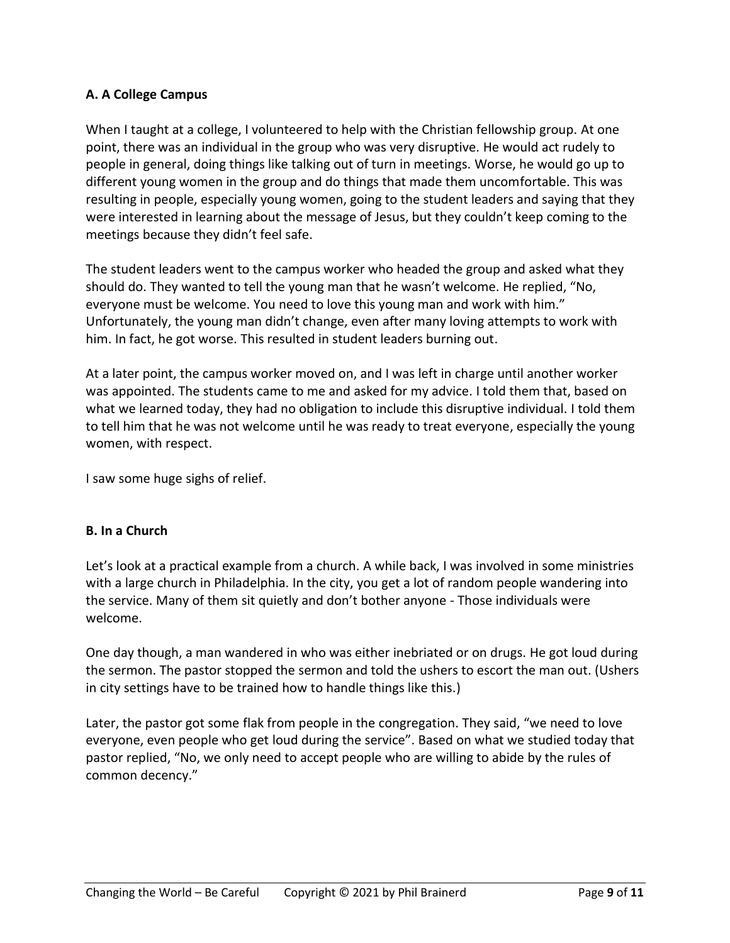# **A. A College Campus**

When I taught at a college, I volunteered to help with the Christian fellowship group. At one point, there was an individual in the group who was very disruptive. He would act rudely to people in general, doing things like talking out of turn in meetings. Worse, he would go up to different young women in the group and do things that made them uncomfortable. This was resulting in people, especially young women, going to the student leaders and saying that they were interested in learning about the message of Jesus, but they couldn't keep coming to the meetings because they didn't feel safe.

The student leaders went to the campus worker who headed the group and asked what they should do. They wanted to tell the young man that he wasn't welcome. He replied, "No, everyone must be welcome. You need to love this young man and work with him." Unfortunately, the young man didn't change, even after many loving attempts to work with him. In fact, he got worse. This resulted in student leaders burning out.

At a later point, the campus worker moved on, and I was left in charge until another worker was appointed. The students came to me and asked for my advice. I told them that, based on what we learned today, they had no obligation to include this disruptive individual. I told them to tell him that he was not welcome until he was ready to treat everyone, especially the young women, with respect.

I saw some huge sighs of relief.

## **B. In a Church**

Let's look at a practical example from a church. A while back, I was involved in some ministries with a large church in Philadelphia. In the city, you get a lot of random people wandering into the service. Many of them sit quietly and don't bother anyone - Those individuals were welcome.

One day though, a man wandered in who was either inebriated or on drugs. He got loud during the sermon. The pastor stopped the sermon and told the ushers to escort the man out. (Ushers in city settings have to be trained how to handle things like this.)

Later, the pastor got some flak from people in the congregation. They said, "we need to love everyone, even people who get loud during the service". Based on what we studied today that pastor replied, "No, we only need to accept people who are willing to abide by the rules of common decency."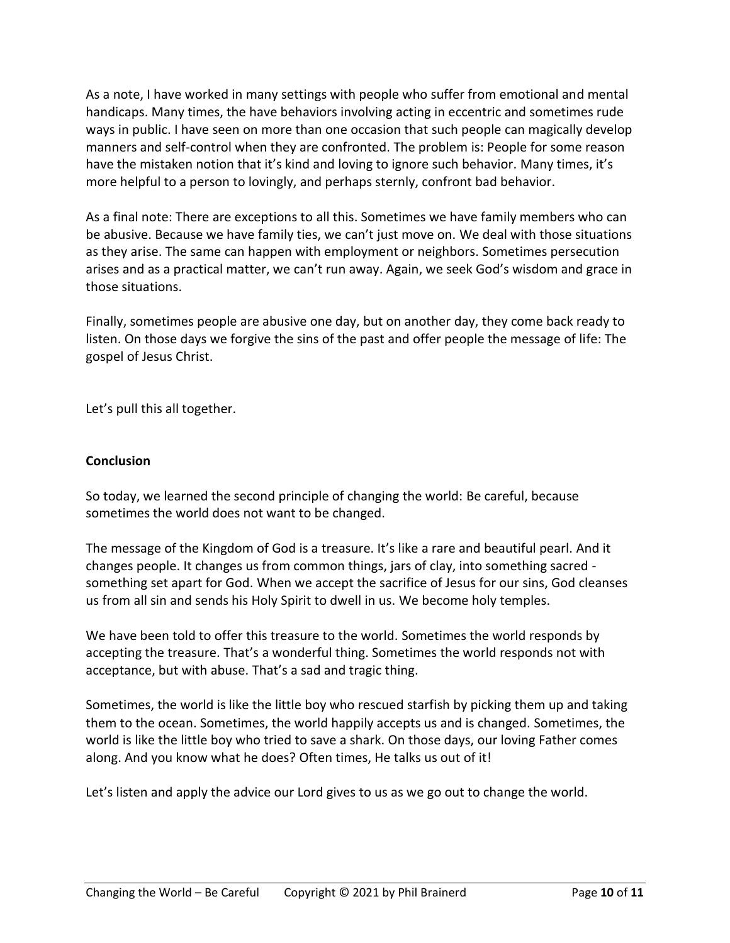As a note, I have worked in many settings with people who suffer from emotional and mental handicaps. Many times, the have behaviors involving acting in eccentric and sometimes rude ways in public. I have seen on more than one occasion that such people can magically develop manners and self-control when they are confronted. The problem is: People for some reason have the mistaken notion that it's kind and loving to ignore such behavior. Many times, it's more helpful to a person to lovingly, and perhaps sternly, confront bad behavior.

As a final note: There are exceptions to all this. Sometimes we have family members who can be abusive. Because we have family ties, we can't just move on. We deal with those situations as they arise. The same can happen with employment or neighbors. Sometimes persecution arises and as a practical matter, we can't run away. Again, we seek God's wisdom and grace in those situations.

Finally, sometimes people are abusive one day, but on another day, they come back ready to listen. On those days we forgive the sins of the past and offer people the message of life: The gospel of Jesus Christ.

Let's pull this all together.

## **Conclusion**

So today, we learned the second principle of changing the world: Be careful, because sometimes the world does not want to be changed.

The message of the Kingdom of God is a treasure. It's like a rare and beautiful pearl. And it changes people. It changes us from common things, jars of clay, into something sacred something set apart for God. When we accept the sacrifice of Jesus for our sins, God cleanses us from all sin and sends his Holy Spirit to dwell in us. We become holy temples.

We have been told to offer this treasure to the world. Sometimes the world responds by accepting the treasure. That's a wonderful thing. Sometimes the world responds not with acceptance, but with abuse. That's a sad and tragic thing.

Sometimes, the world is like the little boy who rescued starfish by picking them up and taking them to the ocean. Sometimes, the world happily accepts us and is changed. Sometimes, the world is like the little boy who tried to save a shark. On those days, our loving Father comes along. And you know what he does? Often times, He talks us out of it!

Let's listen and apply the advice our Lord gives to us as we go out to change the world.